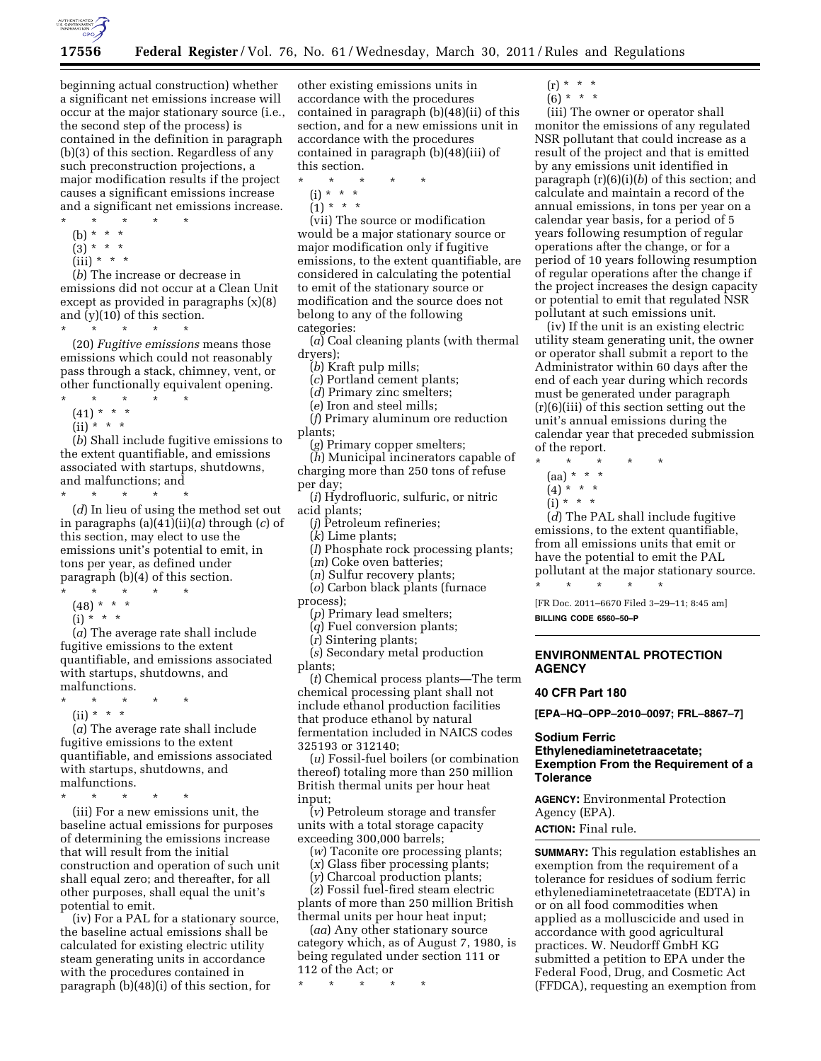

beginning actual construction) whether a significant net emissions increase will occur at the major stationary source (i.e., the second step of the process) is contained in the definition in paragraph (b)(3) of this section. Regardless of any such preconstruction projections, a major modification results if the project causes a significant emissions increase and a significant net emissions increase.

- \* \* \* \* \*
- (b) \* \* \*
- $(3) * * * *$
- $(iii) * * * *$

(*b*) The increase or decrease in emissions did not occur at a Clean Unit except as provided in paragraphs (x)(8) and (y)(10) of this section.

\* \* \* \* \*

(20) *Fugitive emissions* means those emissions which could not reasonably pass through a stack, chimney, vent, or other functionally equivalent opening.

- \* \* \* \* \*
- $(41) * * * *$
- $(ii) * * * *$

(*b*) Shall include fugitive emissions to the extent quantifiable, and emissions associated with startups, shutdowns, and malfunctions; and

\* \* \* \* \*

(*d*) In lieu of using the method set out in paragraphs (a)(41)(ii)(*a*) through (*c*) of this section, may elect to use the emissions unit's potential to emit, in tons per year, as defined under paragraph (b)(4) of this section.

- \* \* \* \* \*
- $(48) * * * *$
- $(i) * * * *$

(*a*) The average rate shall include fugitive emissions to the extent quantifiable, and emissions associated with startups, shutdowns, and malfunctions.

- \* \* \* \* \*
	- (ii) \* \* \*

(*a*) The average rate shall include fugitive emissions to the extent quantifiable, and emissions associated with startups, shutdowns, and malfunctions.

\* \* \* \* \*

(iii) For a new emissions unit, the baseline actual emissions for purposes of determining the emissions increase that will result from the initial construction and operation of such unit shall equal zero; and thereafter, for all other purposes, shall equal the unit's potential to emit.

(iv) For a PAL for a stationary source, the baseline actual emissions shall be calculated for existing electric utility steam generating units in accordance with the procedures contained in paragraph (b)(48)(i) of this section, for

other existing emissions units in accordance with the procedures contained in paragraph (b)(48)(ii) of this section, and for a new emissions unit in accordance with the procedures contained in paragraph (b)(48)(iii) of this section.

- \* \* \* \* \*
	- (i) \* \* \*
	- $(1) * * * *$

(vii) The source or modification would be a major stationary source or major modification only if fugitive emissions, to the extent quantifiable, are considered in calculating the potential to emit of the stationary source or modification and the source does not belong to any of the following categories:

(*a*) Coal cleaning plants (with thermal dryers);

(*b*) Kraft pulp mills;

(*c*) Portland cement plants;

(*d*) Primary zinc smelters;

(*e*) Iron and steel mills;

(*f*) Primary aluminum ore reduction plants;

(*g*) Primary copper smelters; (*h*) Municipal incinerators capable of

charging more than 250 tons of refuse per day;

(*i*) Hydrofluoric, sulfuric, or nitric acid plants;

(*j*) Petroleum refineries;

(*k*) Lime plants;

(*l*) Phosphate rock processing plants;

(*m*) Coke oven batteries;

(*n*) Sulfur recovery plants; (*o*) Carbon black plants (furnace process);

(*p*) Primary lead smelters;

(*q*) Fuel conversion plants;

(*r*) Sintering plants;

(*s*) Secondary metal production plants;

(*t*) Chemical process plants—The term chemical processing plant shall not include ethanol production facilities that produce ethanol by natural fermentation included in NAICS codes 325193 or 312140;

(*u*) Fossil-fuel boilers (or combination thereof) totaling more than 250 million British thermal units per hour heat input;

(*v*) Petroleum storage and transfer units with a total storage capacity exceeding 300,000 barrels;

(*w*) Taconite ore processing plants;

(*x*) Glass fiber processing plants;

(*y*) Charcoal production plants;

(*z*) Fossil fuel-fired steam electric plants of more than 250 million British thermal units per hour heat input;

(*aa*) Any other stationary source category which, as of August 7, 1980, is being regulated under section 111 or 112 of the Act; or

\* \* \* \* \*

 $(r) * * * *$ 

 $(6) * * * *$ 

(iii) The owner or operator shall monitor the emissions of any regulated NSR pollutant that could increase as a result of the project and that is emitted by any emissions unit identified in paragraph (r)(6)(i)(*b*) of this section; and calculate and maintain a record of the annual emissions, in tons per year on a calendar year basis, for a period of 5 years following resumption of regular operations after the change, or for a period of 10 years following resumption of regular operations after the change if the project increases the design capacity or potential to emit that regulated NSR pollutant at such emissions unit.

(iv) If the unit is an existing electric utility steam generating unit, the owner or operator shall submit a report to the Administrator within 60 days after the end of each year during which records must be generated under paragraph (r)(6)(iii) of this section setting out the unit's annual emissions during the calendar year that preceded submission of the report.

\* \* \* \* \*

- $(aa) * * * *$  $(4) * * * *$
- 
- $(i) * * * *$

(*d*) The PAL shall include fugitive emissions, to the extent quantifiable, from all emissions units that emit or have the potential to emit the PAL pollutant at the major stationary source.

[FR Doc. 2011–6670 Filed 3–29–11; 8:45 am] **BILLING CODE 6560–50–P** 

\* \* \* \* \*

**ENVIRONMENTAL PROTECTION AGENCY** 

### **40 CFR Part 180**

**[EPA–HQ–OPP–2010–0097; FRL–8867–7]** 

# **Sodium Ferric**

# **Ethylenediaminetetraacetate; Exemption From the Requirement of a Tolerance**

**AGENCY:** Environmental Protection Agency (EPA).

**ACTION:** Final rule.

**SUMMARY:** This regulation establishes an exemption from the requirement of a tolerance for residues of sodium ferric ethylenediaminetetraacetate (EDTA) in or on all food commodities when applied as a molluscicide and used in accordance with good agricultural practices. W. Neudorff GmbH KG submitted a petition to EPA under the Federal Food, Drug, and Cosmetic Act (FFDCA), requesting an exemption from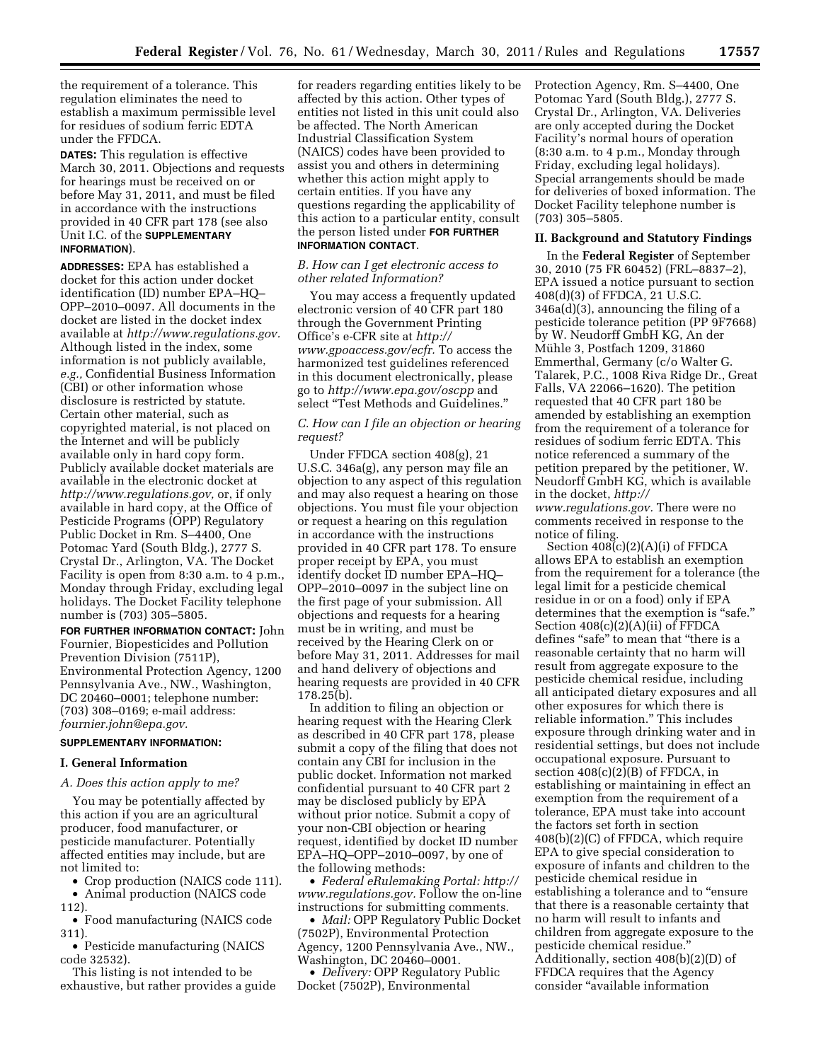the requirement of a tolerance. This regulation eliminates the need to establish a maximum permissible level for residues of sodium ferric EDTA under the FFDCA.

**DATES:** This regulation is effective March 30, 2011. Objections and requests for hearings must be received on or before May 31, 2011, and must be filed in accordance with the instructions provided in 40 CFR part 178 (see also Unit I.C. of the **SUPPLEMENTARY INFORMATION**).

**ADDRESSES:** EPA has established a docket for this action under docket identification (ID) number EPA–HQ– OPP–2010–0097. All documents in the docket are listed in the docket index available at *[http://www.regulations.gov.](http://www.regulations.gov)*  Although listed in the index, some information is not publicly available, *e.g.,* Confidential Business Information (CBI) or other information whose disclosure is restricted by statute. Certain other material, such as copyrighted material, is not placed on the Internet and will be publicly available only in hard copy form. Publicly available docket materials are available in the electronic docket at *[http://www.regulations.gov,](http://www.regulations.gov)* or, if only available in hard copy, at the Office of Pesticide Programs (OPP) Regulatory Public Docket in Rm. S–4400, One Potomac Yard (South Bldg.), 2777 S. Crystal Dr., Arlington, VA. The Docket Facility is open from 8:30 a.m. to 4 p.m., Monday through Friday, excluding legal holidays. The Docket Facility telephone number is (703) 305–5805.

**FOR FURTHER INFORMATION CONTACT:** John Fournier, Biopesticides and Pollution Prevention Division (7511P), Environmental Protection Agency, 1200 Pennsylvania Ave., NW., Washington, DC 20460–0001; telephone number: (703) 308–0169; e-mail address: *[fournier.john@epa.gov.](mailto:fournier.john@epa.gov)* 

# **SUPPLEMENTARY INFORMATION:**

#### **I. General Information**

### *A. Does this action apply to me?*

You may be potentially affected by this action if you are an agricultural producer, food manufacturer, or pesticide manufacturer. Potentially affected entities may include, but are not limited to:

• Crop production (NAICS code 111).

• Animal production (NAICS code 112).

• Food manufacturing (NAICS code 311).

• Pesticide manufacturing (NAICS code 32532).

This listing is not intended to be exhaustive, but rather provides a guide

for readers regarding entities likely to be affected by this action. Other types of entities not listed in this unit could also be affected. The North American Industrial Classification System (NAICS) codes have been provided to assist you and others in determining whether this action might apply to certain entities. If you have any questions regarding the applicability of this action to a particular entity, consult the person listed under **FOR FURTHER INFORMATION CONTACT**.

### *B. How can I get electronic access to other related Information?*

You may access a frequently updated electronic version of 40 CFR part 180 through the Government Printing Office's e-CFR site at *[http://](http://www.gpoaccess.gov/ecfr)  [www.gpoaccess.gov/ecfr.](http://www.gpoaccess.gov/ecfr)* To access the harmonized test guidelines referenced in this document electronically, please go to *<http://www.epa.gov/oscpp>*and select ''Test Methods and Guidelines.''

### *C. How can I file an objection or hearing request?*

Under FFDCA section 408(g), 21 U.S.C. 346a(g), any person may file an objection to any aspect of this regulation and may also request a hearing on those objections. You must file your objection or request a hearing on this regulation in accordance with the instructions provided in 40 CFR part 178. To ensure proper receipt by EPA, you must identify docket ID number EPA–HQ– OPP–2010–0097 in the subject line on the first page of your submission. All objections and requests for a hearing must be in writing, and must be received by the Hearing Clerk on or before May 31, 2011. Addresses for mail and hand delivery of objections and hearing requests are provided in 40 CFR 178.25(b).

In addition to filing an objection or hearing request with the Hearing Clerk as described in 40 CFR part 178, please submit a copy of the filing that does not contain any CBI for inclusion in the public docket. Information not marked confidential pursuant to 40 CFR part 2 may be disclosed publicly by EPA without prior notice. Submit a copy of your non-CBI objection or hearing request, identified by docket ID number EPA–HQ–OPP–2010–0097, by one of the following methods:

• *Federal eRulemaking Portal: [http://](http://www.regulations.gov)  [www.regulations.gov.](http://www.regulations.gov)* Follow the on-line instructions for submitting comments.

• *Mail:* OPP Regulatory Public Docket (7502P), Environmental Protection Agency, 1200 Pennsylvania Ave., NW., Washington, DC 20460–0001.

• *Delivery:* OPP Regulatory Public Docket (7502P), Environmental

Protection Agency, Rm. S–4400, One Potomac Yard (South Bldg.), 2777 S. Crystal Dr., Arlington, VA. Deliveries are only accepted during the Docket Facility's normal hours of operation (8:30 a.m. to 4 p.m., Monday through Friday, excluding legal holidays). Special arrangements should be made for deliveries of boxed information. The Docket Facility telephone number is (703) 305–5805.

# **II. Background and Statutory Findings**

In the **Federal Register** of September 30, 2010 (75 FR 60452) (FRL–8837–2), EPA issued a notice pursuant to section 408(d)(3) of FFDCA, 21 U.S.C. 346a(d)(3), announcing the filing of a pesticide tolerance petition (PP 9F7668) by W. Neudorff GmbH KG, An der Mühle 3, Postfach 1209, 31860 Emmerthal, Germany (c/o Walter G. Talarek, P.C., 1008 Riva Ridge Dr., Great Falls, VA 22066–1620). The petition requested that 40 CFR part 180 be amended by establishing an exemption from the requirement of a tolerance for residues of sodium ferric EDTA. This notice referenced a summary of the petition prepared by the petitioner, W. Neudorff GmbH KG, which is available in the docket, *[http://](http://www.regulations.gov) [www.regulations.gov.](http://www.regulations.gov)* There were no comments received in response to the

notice of filing.

Section  $408(c)(2)(A)(i)$  of FFDCA allows EPA to establish an exemption from the requirement for a tolerance (the legal limit for a pesticide chemical residue in or on a food) only if EPA determines that the exemption is "safe." Section 408(c)(2)(A)(ii) of FFDCA defines "safe" to mean that "there is a reasonable certainty that no harm will result from aggregate exposure to the pesticide chemical residue, including all anticipated dietary exposures and all other exposures for which there is reliable information.'' This includes exposure through drinking water and in residential settings, but does not include occupational exposure. Pursuant to section  $408(c)(2)(B)$  of FFDCA, in establishing or maintaining in effect an exemption from the requirement of a tolerance, EPA must take into account the factors set forth in section 408(b)(2)(C) of FFDCA, which require EPA to give special consideration to exposure of infants and children to the pesticide chemical residue in establishing a tolerance and to ''ensure that there is a reasonable certainty that no harm will result to infants and children from aggregate exposure to the pesticide chemical residue.'' Additionally, section 408(b)(2)(D) of FFDCA requires that the Agency consider ''available information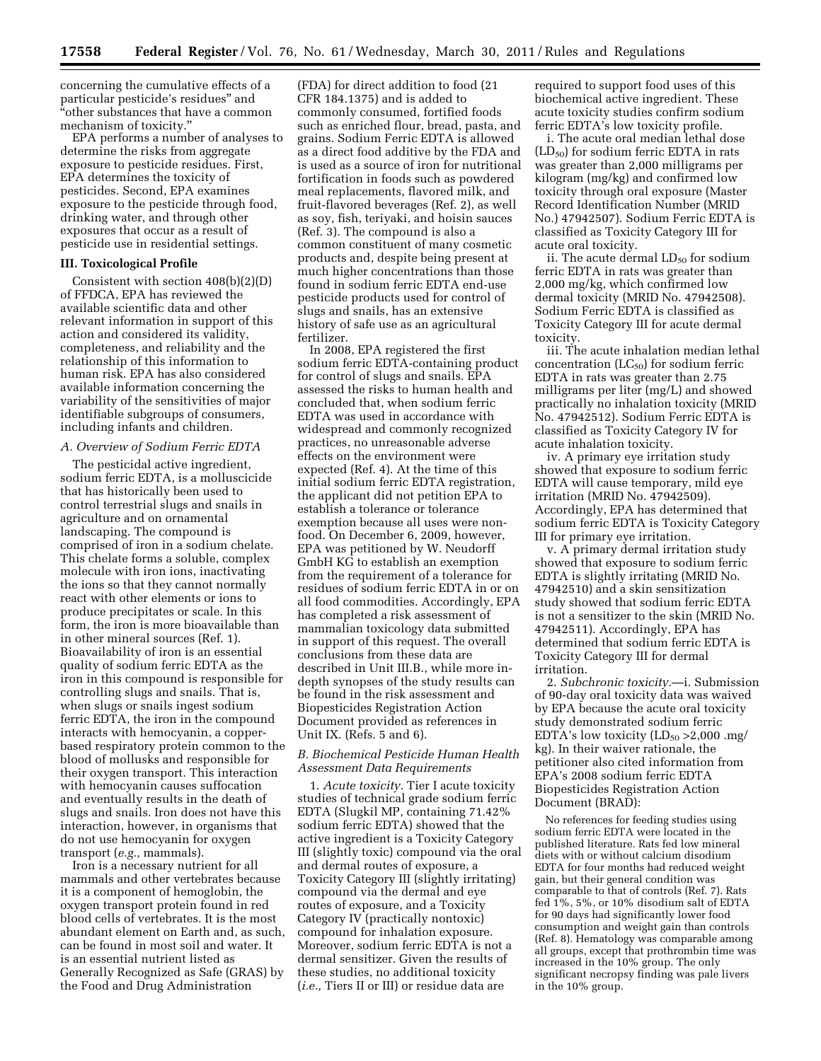concerning the cumulative effects of a particular pesticide's residues'' and ''other substances that have a common mechanism of toxicity.''

EPA performs a number of analyses to determine the risks from aggregate exposure to pesticide residues. First, EPA determines the toxicity of pesticides. Second, EPA examines exposure to the pesticide through food, drinking water, and through other exposures that occur as a result of pesticide use in residential settings.

### **III. Toxicological Profile**

Consistent with section 408(b)(2)(D) of FFDCA, EPA has reviewed the available scientific data and other relevant information in support of this action and considered its validity, completeness, and reliability and the relationship of this information to human risk. EPA has also considered available information concerning the variability of the sensitivities of major identifiable subgroups of consumers, including infants and children.

### *A. Overview of Sodium Ferric EDTA*

The pesticidal active ingredient, sodium ferric EDTA, is a molluscicide that has historically been used to control terrestrial slugs and snails in agriculture and on ornamental landscaping. The compound is comprised of iron in a sodium chelate. This chelate forms a soluble, complex molecule with iron ions, inactivating the ions so that they cannot normally react with other elements or ions to produce precipitates or scale. In this form, the iron is more bioavailable than in other mineral sources (Ref. 1). Bioavailability of iron is an essential quality of sodium ferric EDTA as the iron in this compound is responsible for controlling slugs and snails. That is, when slugs or snails ingest sodium ferric EDTA, the iron in the compound interacts with hemocyanin, a copperbased respiratory protein common to the blood of mollusks and responsible for their oxygen transport. This interaction with hemocyanin causes suffocation and eventually results in the death of slugs and snails. Iron does not have this interaction, however, in organisms that do not use hemocyanin for oxygen transport (*e.g.,* mammals).

Iron is a necessary nutrient for all mammals and other vertebrates because it is a component of hemoglobin, the oxygen transport protein found in red blood cells of vertebrates. It is the most abundant element on Earth and, as such, can be found in most soil and water. It is an essential nutrient listed as Generally Recognized as Safe (GRAS) by the Food and Drug Administration

(FDA) for direct addition to food (21 CFR 184.1375) and is added to commonly consumed, fortified foods such as enriched flour, bread, pasta, and grains. Sodium Ferric EDTA is allowed as a direct food additive by the FDA and is used as a source of iron for nutritional fortification in foods such as powdered meal replacements, flavored milk, and fruit-flavored beverages (Ref. 2), as well as soy, fish, teriyaki, and hoisin sauces (Ref. 3). The compound is also a common constituent of many cosmetic products and, despite being present at much higher concentrations than those found in sodium ferric EDTA end-use pesticide products used for control of slugs and snails, has an extensive history of safe use as an agricultural fertilizer.

In 2008, EPA registered the first sodium ferric EDTA-containing product for control of slugs and snails. EPA assessed the risks to human health and concluded that, when sodium ferric EDTA was used in accordance with widespread and commonly recognized practices, no unreasonable adverse effects on the environment were expected (Ref. 4). At the time of this initial sodium ferric EDTA registration, the applicant did not petition EPA to establish a tolerance or tolerance exemption because all uses were nonfood. On December 6, 2009, however, EPA was petitioned by W. Neudorff GmbH KG to establish an exemption from the requirement of a tolerance for residues of sodium ferric EDTA in or on all food commodities. Accordingly, EPA has completed a risk assessment of mammalian toxicology data submitted in support of this request. The overall conclusions from these data are described in Unit III.B., while more indepth synopses of the study results can be found in the risk assessment and Biopesticides Registration Action Document provided as references in Unit IX. (Refs. 5 and 6).

### *B. Biochemical Pesticide Human Health Assessment Data Requirements*

1. *Acute toxicity.* Tier I acute toxicity studies of technical grade sodium ferric EDTA (Slugkil MP, containing 71.42% sodium ferric EDTA) showed that the active ingredient is a Toxicity Category III (slightly toxic) compound via the oral and dermal routes of exposure, a Toxicity Category III (slightly irritating) compound via the dermal and eye routes of exposure, and a Toxicity Category IV (practically nontoxic) compound for inhalation exposure. Moreover, sodium ferric EDTA is not a dermal sensitizer. Given the results of these studies, no additional toxicity (*i.e.,* Tiers II or III) or residue data are

required to support food uses of this biochemical active ingredient. These acute toxicity studies confirm sodium ferric EDTA's low toxicity profile.

i. The acute oral median lethal dose  $(LD_{50})$  for sodium ferric EDTA in rats was greater than 2,000 milligrams per kilogram (mg/kg) and confirmed low toxicity through oral exposure (Master Record Identification Number (MRID No.) 47942507). Sodium Ferric EDTA is classified as Toxicity Category III for acute oral toxicity.

ii. The acute dermal  $LD_{50}$  for sodium ferric EDTA in rats was greater than 2,000 mg/kg, which confirmed low dermal toxicity (MRID No. 47942508). Sodium Ferric EDTA is classified as Toxicity Category III for acute dermal toxicity.

iii. The acute inhalation median lethal concentration  $(LC_{50})$  for sodium ferric EDTA in rats was greater than 2.75 milligrams per liter (mg/L) and showed practically no inhalation toxicity (MRID No. 47942512). Sodium Ferric EDTA is classified as Toxicity Category IV for acute inhalation toxicity.

iv. A primary eye irritation study showed that exposure to sodium ferric EDTA will cause temporary, mild eye irritation (MRID No. 47942509). Accordingly, EPA has determined that sodium ferric EDTA is Toxicity Category III for primary eye irritation.

v. A primary dermal irritation study showed that exposure to sodium ferric EDTA is slightly irritating (MRID No. 47942510) and a skin sensitization study showed that sodium ferric EDTA is not a sensitizer to the skin (MRID No. 47942511). Accordingly, EPA has determined that sodium ferric EDTA is Toxicity Category III for dermal irritation.

2. *Subchronic toxicity.*—i. Submission of 90-day oral toxicity data was waived by EPA because the acute oral toxicity study demonstrated sodium ferric EDTA's low toxicity  $(LD_{50} > 2,000 \text{ mg})$ kg). In their waiver rationale, the petitioner also cited information from EPA's 2008 sodium ferric EDTA Biopesticides Registration Action Document (BRAD):

No references for feeding studies using sodium ferric EDTA were located in the published literature. Rats fed low mineral diets with or without calcium disodium EDTA for four months had reduced weight gain, but their general condition was comparable to that of controls (Ref. 7). Rats fed 1%, 5%, or 10% disodium salt of EDTA for 90 days had significantly lower food consumption and weight gain than controls (Ref. 8). Hematology was comparable among all groups, except that prothrombin time was increased in the 10% group. The only significant necropsy finding was pale livers in the 10% group.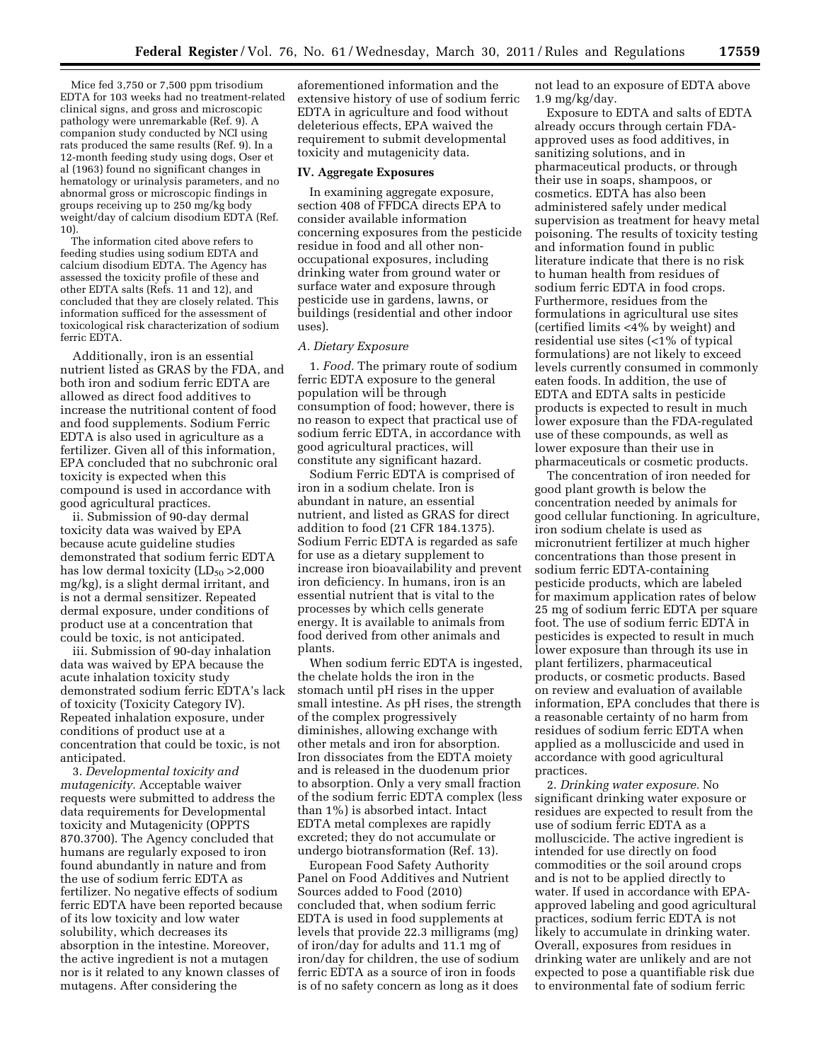Mice fed 3,750 or 7,500 ppm trisodium EDTA for 103 weeks had no treatment-related clinical signs, and gross and microscopic pathology were unremarkable (Ref. 9). A companion study conducted by NCI using rats produced the same results (Ref. 9). In a 12-month feeding study using dogs, Oser et al (1963) found no significant changes in hematology or urinalysis parameters, and no abnormal gross or microscopic findings in groups receiving up to 250 mg/kg body weight/day of calcium disodium EDTA (Ref. 10).

The information cited above refers to feeding studies using sodium EDTA and calcium disodium EDTA. The Agency has assessed the toxicity profile of these and other EDTA salts (Refs. 11 and 12), and concluded that they are closely related. This information sufficed for the assessment of toxicological risk characterization of sodium ferric EDTA.

Additionally, iron is an essential nutrient listed as GRAS by the FDA, and both iron and sodium ferric EDTA are allowed as direct food additives to increase the nutritional content of food and food supplements. Sodium Ferric EDTA is also used in agriculture as a fertilizer. Given all of this information, EPA concluded that no subchronic oral toxicity is expected when this compound is used in accordance with good agricultural practices.

ii. Submission of 90-day dermal toxicity data was waived by EPA because acute guideline studies demonstrated that sodium ferric EDTA has low dermal toxicity  $(LD_{50} > 2,000)$ mg/kg), is a slight dermal irritant, and is not a dermal sensitizer. Repeated dermal exposure, under conditions of product use at a concentration that could be toxic, is not anticipated.

iii. Submission of 90-day inhalation data was waived by EPA because the acute inhalation toxicity study demonstrated sodium ferric EDTA's lack of toxicity (Toxicity Category IV). Repeated inhalation exposure, under conditions of product use at a concentration that could be toxic, is not anticipated.

3. *Developmental toxicity and mutagenicity.* Acceptable waiver requests were submitted to address the data requirements for Developmental toxicity and Mutagenicity (OPPTS 870.3700). The Agency concluded that humans are regularly exposed to iron found abundantly in nature and from the use of sodium ferric EDTA as fertilizer. No negative effects of sodium ferric EDTA have been reported because of its low toxicity and low water solubility, which decreases its absorption in the intestine. Moreover, the active ingredient is not a mutagen nor is it related to any known classes of mutagens. After considering the

aforementioned information and the extensive history of use of sodium ferric EDTA in agriculture and food without deleterious effects, EPA waived the requirement to submit developmental toxicity and mutagenicity data.

#### **IV. Aggregate Exposures**

In examining aggregate exposure, section 408 of FFDCA directs EPA to consider available information concerning exposures from the pesticide residue in food and all other nonoccupational exposures, including drinking water from ground water or surface water and exposure through pesticide use in gardens, lawns, or buildings (residential and other indoor uses).

#### *A. Dietary Exposure*

1. *Food.* The primary route of sodium ferric EDTA exposure to the general population will be through consumption of food; however, there is no reason to expect that practical use of sodium ferric EDTA, in accordance with good agricultural practices, will constitute any significant hazard.

Sodium Ferric EDTA is comprised of iron in a sodium chelate. Iron is abundant in nature, an essential nutrient, and listed as GRAS for direct addition to food (21 CFR 184.1375). Sodium Ferric EDTA is regarded as safe for use as a dietary supplement to increase iron bioavailability and prevent iron deficiency. In humans, iron is an essential nutrient that is vital to the processes by which cells generate energy. It is available to animals from food derived from other animals and plants.

When sodium ferric EDTA is ingested, the chelate holds the iron in the stomach until pH rises in the upper small intestine. As pH rises, the strength of the complex progressively diminishes, allowing exchange with other metals and iron for absorption. Iron dissociates from the EDTA moiety and is released in the duodenum prior to absorption. Only a very small fraction of the sodium ferric EDTA complex (less than 1%) is absorbed intact. Intact EDTA metal complexes are rapidly excreted; they do not accumulate or undergo biotransformation (Ref. 13).

European Food Safety Authority Panel on Food Additives and Nutrient Sources added to Food (2010) concluded that, when sodium ferric EDTA is used in food supplements at levels that provide 22.3 milligrams (mg) of iron/day for adults and 11.1 mg of iron/day for children, the use of sodium ferric EDTA as a source of iron in foods is of no safety concern as long as it does not lead to an exposure of EDTA above  $1.9 \text{ mg/kg/day}.$ 

Exposure to EDTA and salts of EDTA already occurs through certain FDAapproved uses as food additives, in sanitizing solutions, and in pharmaceutical products, or through their use in soaps, shampoos, or cosmetics. EDTA has also been administered safely under medical supervision as treatment for heavy metal poisoning. The results of toxicity testing and information found in public literature indicate that there is no risk to human health from residues of sodium ferric EDTA in food crops. Furthermore, residues from the formulations in agricultural use sites (certified limits <4% by weight) and residential use sites (<1% of typical formulations) are not likely to exceed levels currently consumed in commonly eaten foods. In addition, the use of EDTA and EDTA salts in pesticide products is expected to result in much lower exposure than the FDA-regulated use of these compounds, as well as lower exposure than their use in pharmaceuticals or cosmetic products.

The concentration of iron needed for good plant growth is below the concentration needed by animals for good cellular functioning. In agriculture, iron sodium chelate is used as micronutrient fertilizer at much higher concentrations than those present in sodium ferric EDTA-containing pesticide products, which are labeled for maximum application rates of below 25 mg of sodium ferric EDTA per square foot. The use of sodium ferric EDTA in pesticides is expected to result in much lower exposure than through its use in plant fertilizers, pharmaceutical products, or cosmetic products. Based on review and evaluation of available information, EPA concludes that there is a reasonable certainty of no harm from residues of sodium ferric EDTA when applied as a molluscicide and used in accordance with good agricultural practices.

2. *Drinking water exposure.* No significant drinking water exposure or residues are expected to result from the use of sodium ferric EDTA as a molluscicide. The active ingredient is intended for use directly on food commodities or the soil around crops and is not to be applied directly to water. If used in accordance with EPAapproved labeling and good agricultural practices, sodium ferric EDTA is not likely to accumulate in drinking water. Overall, exposures from residues in drinking water are unlikely and are not expected to pose a quantifiable risk due to environmental fate of sodium ferric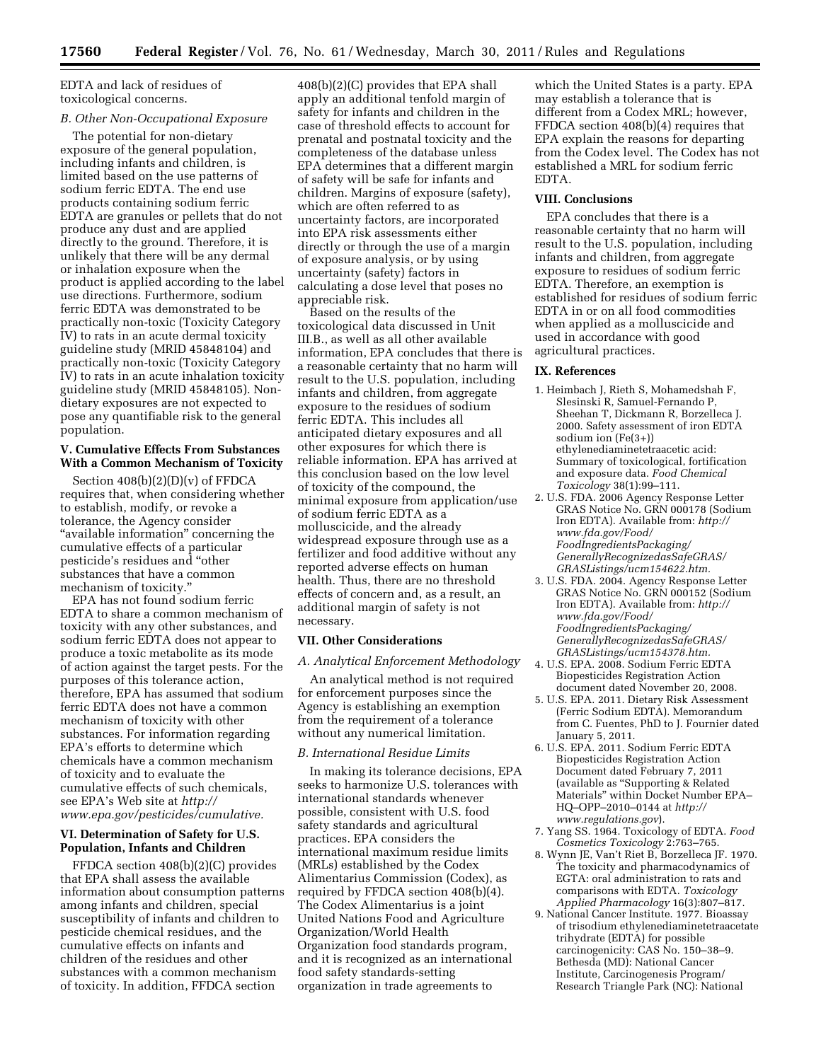EDTA and lack of residues of toxicological concerns.

### *B. Other Non-Occupational Exposure*

The potential for non-dietary exposure of the general population, including infants and children, is limited based on the use patterns of sodium ferric EDTA. The end use products containing sodium ferric EDTA are granules or pellets that do not produce any dust and are applied directly to the ground. Therefore, it is unlikely that there will be any dermal or inhalation exposure when the product is applied according to the label use directions. Furthermore, sodium ferric EDTA was demonstrated to be practically non-toxic (Toxicity Category IV) to rats in an acute dermal toxicity guideline study (MRID 45848104) and practically non-toxic (Toxicity Category IV) to rats in an acute inhalation toxicity guideline study (MRID 45848105). Nondietary exposures are not expected to pose any quantifiable risk to the general population.

# **V. Cumulative Effects From Substances With a Common Mechanism of Toxicity**

Section 408(b)(2)(D)(v) of FFDCA requires that, when considering whether to establish, modify, or revoke a tolerance, the Agency consider ''available information'' concerning the cumulative effects of a particular pesticide's residues and ''other substances that have a common mechanism of toxicity.''

EPA has not found sodium ferric EDTA to share a common mechanism of toxicity with any other substances, and sodium ferric EDTA does not appear to produce a toxic metabolite as its mode of action against the target pests. For the purposes of this tolerance action, therefore, EPA has assumed that sodium ferric EDTA does not have a common mechanism of toxicity with other substances. For information regarding EPA's efforts to determine which chemicals have a common mechanism of toxicity and to evaluate the cumulative effects of such chemicals, see EPA's Web site at *[http://](http://www.epa.gov/pesticides/cumulative)  [www.epa.gov/pesticides/cumulative.](http://www.epa.gov/pesticides/cumulative)* 

## **VI. Determination of Safety for U.S. Population, Infants and Children**

FFDCA section 408(b)(2)(C) provides that EPA shall assess the available information about consumption patterns among infants and children, special susceptibility of infants and children to pesticide chemical residues, and the cumulative effects on infants and children of the residues and other substances with a common mechanism of toxicity. In addition, FFDCA section

408(b)(2)(C) provides that EPA shall apply an additional tenfold margin of safety for infants and children in the case of threshold effects to account for prenatal and postnatal toxicity and the completeness of the database unless EPA determines that a different margin of safety will be safe for infants and children. Margins of exposure (safety), which are often referred to as uncertainty factors, are incorporated into EPA risk assessments either directly or through the use of a margin of exposure analysis, or by using uncertainty (safety) factors in calculating a dose level that poses no appreciable risk.

Based on the results of the toxicological data discussed in Unit III.B., as well as all other available information, EPA concludes that there is a reasonable certainty that no harm will result to the U.S. population, including infants and children, from aggregate exposure to the residues of sodium ferric EDTA. This includes all anticipated dietary exposures and all other exposures for which there is reliable information. EPA has arrived at this conclusion based on the low level of toxicity of the compound, the minimal exposure from application/use of sodium ferric EDTA as a molluscicide, and the already widespread exposure through use as a fertilizer and food additive without any reported adverse effects on human health. Thus, there are no threshold effects of concern and, as a result, an additional margin of safety is not necessary.

# **VII. Other Considerations**

*A. Analytical Enforcement Methodology* 

An analytical method is not required for enforcement purposes since the Agency is establishing an exemption from the requirement of a tolerance without any numerical limitation.

### *B. International Residue Limits*

In making its tolerance decisions, EPA seeks to harmonize U.S. tolerances with international standards whenever possible, consistent with U.S. food safety standards and agricultural practices. EPA considers the international maximum residue limits (MRLs) established by the Codex Alimentarius Commission (Codex), as required by FFDCA section 408(b)(4). The Codex Alimentarius is a joint United Nations Food and Agriculture Organization/World Health Organization food standards program, and it is recognized as an international food safety standards-setting organization in trade agreements to

which the United States is a party. EPA may establish a tolerance that is different from a Codex MRL; however, FFDCA section 408(b)(4) requires that EPA explain the reasons for departing from the Codex level. The Codex has not established a MRL for sodium ferric EDTA.

### **VIII. Conclusions**

EPA concludes that there is a reasonable certainty that no harm will result to the U.S. population, including infants and children, from aggregate exposure to residues of sodium ferric EDTA. Therefore, an exemption is established for residues of sodium ferric EDTA in or on all food commodities when applied as a molluscicide and used in accordance with good agricultural practices.

#### **IX. References**

- 1. Heimbach J, Rieth S, Mohamedshah F, Slesinski R, Samuel-Fernando P, Sheehan T, Dickmann R, Borzelleca J. 2000. Safety assessment of iron EDTA sodium ion (Fe(3+)) ethylenediaminetetraacetic acid: Summary of toxicological, fortification and exposure data. *Food Chemical Toxicology* 38(1):99–111.
- 2. U.S. FDA. 2006 Agency Response Letter GRAS Notice No. GRN 000178 (Sodium Iron EDTA). Available from: *[http://](http://www.fda.gov/Food/FoodIngredientsPackaging/GenerallyRecognizedasSafeGRAS/GRASListings/ucm154622.htm) [www.fda.gov/Food/](http://www.fda.gov/Food/FoodIngredientsPackaging/GenerallyRecognizedasSafeGRAS/GRASListings/ucm154622.htm) [FoodIngredientsPackaging/](http://www.fda.gov/Food/FoodIngredientsPackaging/GenerallyRecognizedasSafeGRAS/GRASListings/ucm154622.htm) [GenerallyRecognizedasSafeGRAS/](http://www.fda.gov/Food/FoodIngredientsPackaging/GenerallyRecognizedasSafeGRAS/GRASListings/ucm154622.htm)  [GRASListings/ucm154622.htm.](http://www.fda.gov/Food/FoodIngredientsPackaging/GenerallyRecognizedasSafeGRAS/GRASListings/ucm154622.htm)*
- 3. U.S. FDA. 2004. Agency Response Letter GRAS Notice No. GRN 000152 (Sodium Iron EDTA). Available from: *[http://](http://www.fda.gov/Food/FoodIngredientsPackaging/GenerallyRecognizedasSafeGRAS/GRASListings/ucm154378.htm) [www.fda.gov/Food/](http://www.fda.gov/Food/FoodIngredientsPackaging/GenerallyRecognizedasSafeGRAS/GRASListings/ucm154378.htm) [FoodIngredientsPackaging/](http://www.fda.gov/Food/FoodIngredientsPackaging/GenerallyRecognizedasSafeGRAS/GRASListings/ucm154378.htm) [GenerallyRecognizedasSafeGRAS/](http://www.fda.gov/Food/FoodIngredientsPackaging/GenerallyRecognizedasSafeGRAS/GRASListings/ucm154378.htm)  [GRASListings/ucm154378.htm.](http://www.fda.gov/Food/FoodIngredientsPackaging/GenerallyRecognizedasSafeGRAS/GRASListings/ucm154378.htm)*
- 4. U.S. EPA. 2008. Sodium Ferric EDTA Biopesticides Registration Action document dated November 20, 2008.
- 5. U.S. EPA. 2011. Dietary Risk Assessment (Ferric Sodium EDTA). Memorandum from C. Fuentes, PhD to J. Fournier dated January 5, 2011.
- 6. U.S. EPA. 2011. Sodium Ferric EDTA Biopesticides Registration Action Document dated February 7, 2011 (available as ''Supporting & Related Materials'' within Docket Number EPA– HQ–OPP–2010–0144 at *[http://](http://www.regulations.gov) [www.regulations.gov](http://www.regulations.gov)*).
- 7. Yang SS. 1964. Toxicology of EDTA. *Food Cosmetics Toxicology* 2:763–765.
- 8. Wynn JE, Van't Riet B, Borzelleca JF. 1970. The toxicity and pharmacodynamics of EGTA: oral administration to rats and comparisons with EDTA. *Toxicology Applied Pharmacology* 16(3):807–817.
- 9. National Cancer Institute. 1977. Bioassay of trisodium ethylenediaminetetraacetate trihydrate (EDTA) for possible carcinogenicity: CAS No. 150–38–9. Bethesda (MD): National Cancer Institute, Carcinogenesis Program/ Research Triangle Park (NC): National